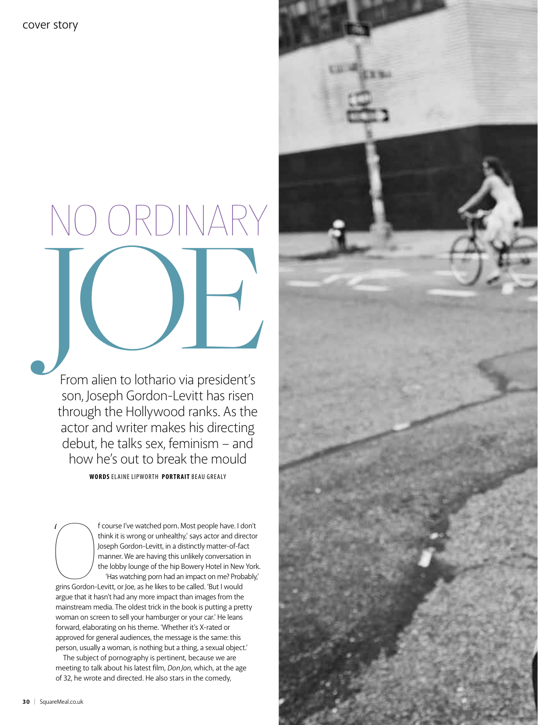# $($   $)\times$   $|$   $)$ From alien to lothario via president's

From alien to lothario via president's son, Joseph Gordon-Levitt has risen through the Hollywood ranks. As the actor and writer makes his directing debut, he talks sex, feminism – and how he's out to break the mould

**WORDS** ELAINE LIPWORTH **portrait** beau grealy

 $\begin{picture}(120,115) \put(0,0){\line(1,0){155}} \put(15,0){\line(1,0){155}} \put(15,0){\line(1,0){155}} \put(15,0){\line(1,0){155}} \put(15,0){\line(1,0){155}} \put(15,0){\line(1,0){155}} \put(15,0){\line(1,0){155}} \put(15,0){\line(1,0){155}} \put(15,0){\line(1,0){155}} \put(15,0){\line(1,0){155}} \put(15,0){\line(1,0){155$ f course I've watched porn. Most people have. I don't think it is wrong or unhealthy,' says actor and director Joseph Gordon-Levitt, in a distinctly matter-of-fact manner. We are having this unlikely conversation in the lobby lounge of the hip Bowery Hotel in New York. 'Has watching porn had an impact on me? Probably,' grins Gordon-Levitt, or Joe, as he likes to be called. 'But I would argue that it hasn't had any more impact than images from the mainstream media. The oldest trick in the book is putting a pretty woman on screen to sell your hamburger or your car.' He leans forward, elaborating on his theme. 'Whether it's X-rated or

approved for general audiences, the message is the same: this person, usually a woman, is nothing but a thing, a sexual object.' The subject of pornography is pertinent, because we are meeting to talk about his latest film, *Don Jon*, which, at the age of 32, he wrote and directed. He also stars in the comedy,



 $\frac{1}{\sqrt{2}}$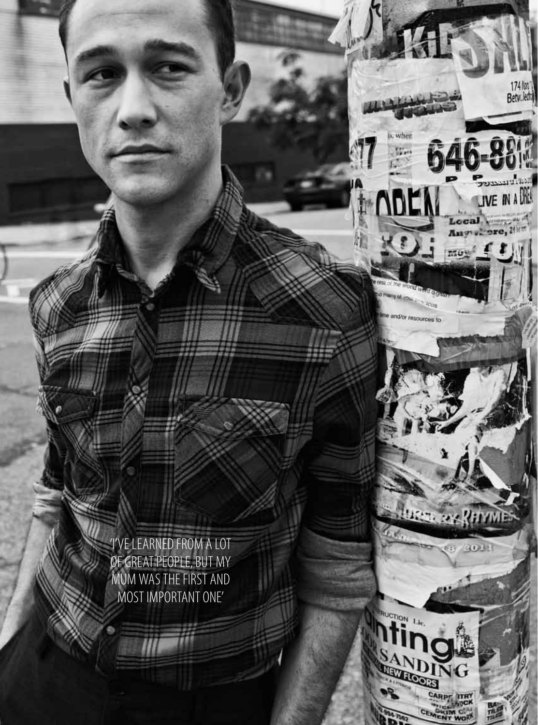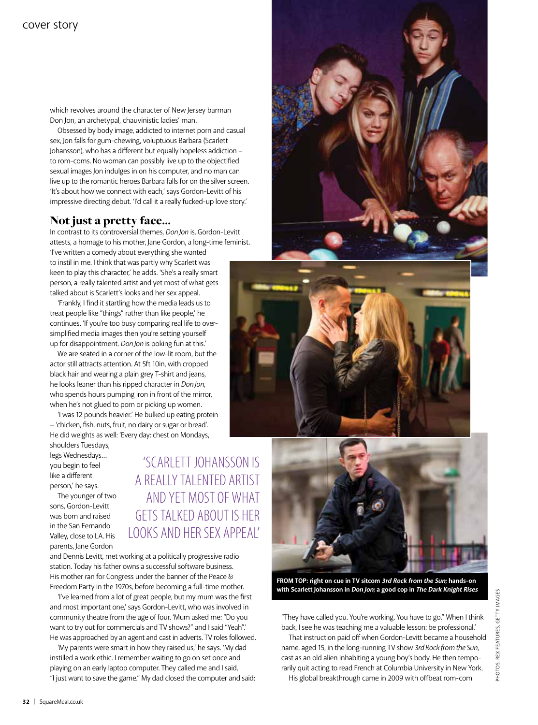which revolves around the character of New Jersey barman Don Jon, an archetypal, chauvinistic ladies' man.

Obsessed by body image, addicted to internet porn and casual sex, Jon falls for gum-chewing, voluptuous Barbara (Scarlett Johansson), who has a different but equally hopeless addiction – to rom-coms. No woman can possibly live up to the objectified sexual images Jon indulges in on his computer, and no man can live up to the romantic heroes Barbara falls for on the silver screen. 'It's about how we connect with each,' says Gordon-Levitt of his impressive directing debut. 'I'd call it a really fucked-up love story.'

### Not just a pretty face...

In contrast to its controversial themes, *Don Jon* is, Gordon-Levitt attests, a homage to his mother, Jane Gordon, a long-time feminist. 'I've written a comedy about everything she wanted to instil in me. I think that was partly why Scarlett was

keen to play this character,' he adds. 'She's a really smart person, a really talented artist and yet most of what gets talked about is Scarlett's looks and her sex appeal.

'Frankly, I find it startling how the media leads us to treat people like "things" rather than like people,' he continues. 'If you're too busy comparing real life to oversimplified media images then you're setting yourself up for disappointment. *Don Jon* is poking fun at this.'

We are seated in a corner of the low-lit room, but the actor still attracts attention. At 5ft 10in, with cropped black hair and wearing a plain grey T-shirt and jeans, he looks leaner than his ripped character in *Don Jon*, who spends hours pumping iron in front of the mirror, when he's not glued to porn or picking up women.

'I was 12 pounds heavier.' He bulked up eating protein – 'chicken, fish, nuts, fruit, no dairy or sugar or bread'. He did weights as well: 'Every day: chest on Mondays,

shoulders Tuesdays, legs Wednesdays… you begin to feel like a different person,' he says.

The younger of two sons, Gordon-Levitt was born and raised in the San Fernando Valley, close to LA. His parents, Jane Gordon

'Scarlett Johansson is a really talented artist and yet most of what gets talked about is her looks and her sex appeal'

and Dennis Levitt, met working at a politically progressive radio station. Today his father owns a successful software business. His mother ran for Congress under the banner of the Peace & Freedom Party in the 1970s, before becoming a full-time mother.

'I've learned from a lot of great people, but my mum was the first and most important one,' says Gordon-Levitt, who was involved in community theatre from the age of four. 'Mum asked me: "Do you want to try out for commercials and TV shows?" and I said "Yeah".' He was approached by an agent and cast in adverts. TV roles followed.

'My parents were smart in how they raised us,' he says. 'My dad instilled a work ethic. I remember waiting to go on set once and playing on an early laptop computer. They called me and I said, "I just want to save the game." My dad closed the computer and said:







**FROM TOP: right on cue in TV sitcom 3rd Rock from the Sun; hands-on with Scarlett Johansson in Don Jon; a good cop in The Dark Knight Rises**

"They have called you. You're working. You have to go." When I think back, I see he was teaching me a valuable lesson: be professional.'

That instruction paid off when Gordon-Levitt became a household name, aged 15, in the long-running TV show *3rd Rock from the Sun*, cast as an old alien inhabiting a young boy's body. He then temporarily quit acting to read French at Columbia University in New York. His global breakthrough came in 2009 with offbeat rom-com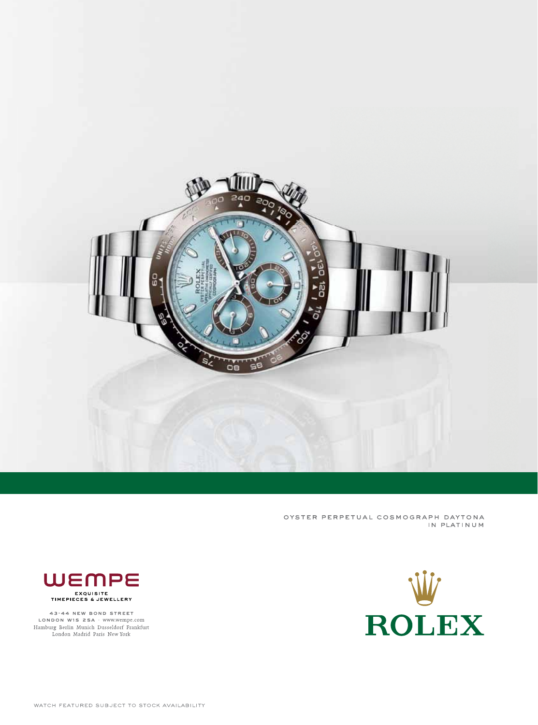

OYSTER PERPETUAL COSMOGRAPH DAYTONA IN PLATINUM





43-44 NEW BOND STREET LONDON W1S 2SA · www.wempe.com<br>Hamburg Berlin Munich Dusseldorf Frankfurt<br>London Madrid Paris New York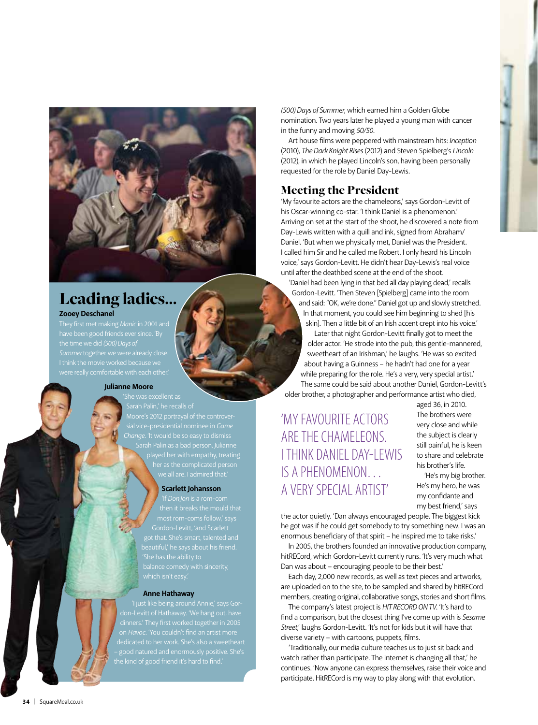



## Leading ladies… **Zooey Deschanel**

# They first met making *Manic* in 2001 and

have been good friends ever since. 'By the time we did *(500) Days of Summer* together we were already close. I think the movie worked because we were really comfortable with each other.'

#### **Julianne Moore**

Sarah Palin,' he recalls of Moore's 2012 portrayal of the controver-*Change*. 'It would be so easy to dismiss Sarah Palin as a bad person. Julianne her as the complicated person

#### **Scarlett Johansson**

most rom-coms follow,' says got that. She's smart, talented and

#### **Anne Hathaway**

dinners.' They first worked together in 2005 the kind of good friend it's hard to find.'

*(500) Days of Summer*, which earned him a Golden Globe nomination. Two years later he played a young man with cancer in the funny and moving *50/50*.

Art house films were peppered with mainstream hits: *Inception* (2010), *The Dark Knight Rises* (2012) and Steven Spielberg's *Lincoln* (2012), in which he played Lincoln's son, having been personally requested for the role by Daniel Day-Lewis.

## Meeting the President

'My favourite actors are the chameleons,' says Gordon-Levitt of his Oscar-winning co-star. 'I think Daniel is a phenomenon.' Arriving on set at the start of the shoot, he discovered a note from Day-Lewis written with a quill and ink, signed from Abraham/ Daniel. 'But when we physically met, Daniel was the President. I called him Sir and he called me Robert. I only heard his Lincoln voice,' says Gordon-Levitt. He didn't hear Day-Lewis's real voice until after the deathbed scene at the end of the shoot.

'Daniel had been lying in that bed all day playing dead,' recalls Gordon-Levitt. 'Then Steven [Spielberg] came into the room and said: "OK, we're done." Daniel got up and slowly stretched. In that moment, you could see him beginning to shed [his skin]. Then a little bit of an Irish accent crept into his voice.'

Later that night Gordon-Levitt finally got to meet the older actor. 'He strode into the pub, this gentle-mannered, sweetheart of an Irishman,' he laughs. 'He was so excited about having a Guinness – he hadn't had one for a year while preparing for the role. He's a very, very special artist.' The same could be said about another Daniel, Gordon-Levitt's older brother, a photographer and performance artist who died,

'My favourite actors are the chameleons. I think Daniel Day-Lewis is a phenomenon… a very special artist'

aged 36, in 2010. The brothers were very close and while the subject is clearly still painful, he is keen to share and celebrate his brother's life.

'He's my big brother. He's my hero, he was my confidante and my best friend,' says

the actor quietly. 'Dan always encouraged people. The biggest kick he got was if he could get somebody to try something new. I was an enormous beneficiary of that spirit – he inspired me to take risks.'

In 2005, the brothers founded an innovative production company, hitRECord, which Gordon-Levitt currently runs. 'It's very much what Dan was about – encouraging people to be their best.'

Each day, 2,000 new records, as well as text pieces and artworks, are uploaded on to the site, to be sampled and shared by hitRECord members, creating original, collaborative songs, stories and short films.

The company's latest project is *HIT RECORD ON TV*. 'It's hard to find a comparison, but the closest thing I've come up with is *Sesame Street*,' laughs Gordon-Levitt. 'It's not for kids but it will have that diverse variety – with cartoons, puppets, films.

'Traditionally, our media culture teaches us to just sit back and watch rather than participate. The internet is changing all that,' he continues. 'Now anyone can express themselves, raise their voice and participate. HitRECord is my way to play along with that evolution.